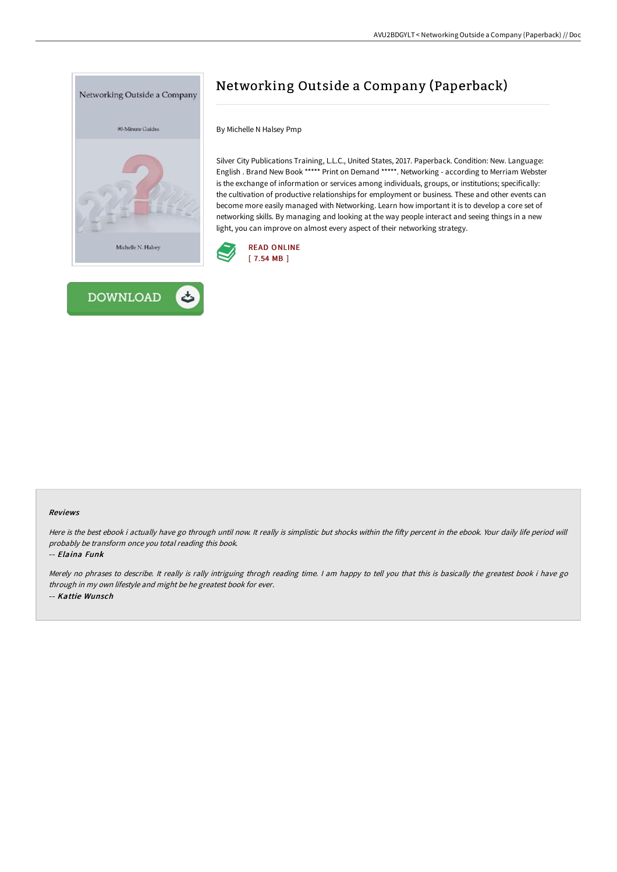



# Networking Outside a Company (Paperback)

By Michelle N Halsey Pmp

Silver City Publications Training, L.L.C., United States, 2017. Paperback. Condition: New. Language: English . Brand New Book \*\*\*\*\* Print on Demand \*\*\*\*\*. Networking - according to Merriam Webster is the exchange of information or services among individuals, groups, or institutions; specifically: the cultivation of productive relationships for employment or business. These and other events can become more easily managed with Networking. Learn how important it is to develop a core set of networking skills. By managing and looking at the way people interact and seeing things in a new light, you can improve on almost every aspect of their networking strategy.



#### Reviews

Here is the best ebook i actually have go through until now. It really is simplistic but shocks within the fifty percent in the ebook. Your daily life period will probably be transform once you total reading this book.

-- Elaina Funk

Merely no phrases to describe. It really is rally intriguing throgh reading time. I am happy to tell you that this is basically the greatest book i have go through in my own lifestyle and might be he greatest book for ever. -- Kattie Wunsch